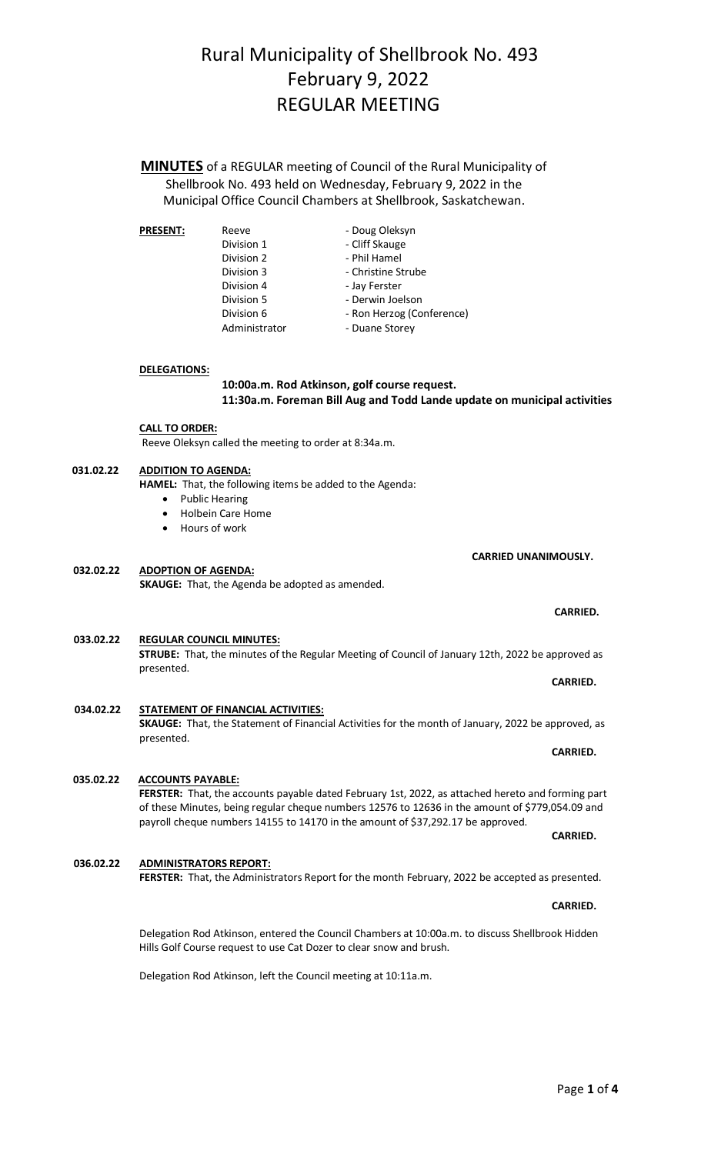### Page **1** of **4**

# Rural Municipality of Shellbrook No. 493 February 9, 2022 REGULAR MEETING

**MINUTES** of a REGULAR meeting of Council of the Rural Municipality of Shellbrook No. 493 held on Wednesday, February 9, 2022 in the Municipal Office Council Chambers at Shellbrook, Saskatchewan.

| <b>PRESENT:</b> | Reeve         | - Doug Oleksyn            |
|-----------------|---------------|---------------------------|
|                 | Division 1    | - Cliff Skauge            |
|                 | Division 2    | - Phil Hamel              |
|                 | Division 3    | - Christine Strube        |
|                 | Division 4    | - Jay Ferster             |
|                 | Division 5    | - Derwin Joelson          |
|                 | Division 6    | - Ron Herzog (Conference) |
|                 | Administrator | - Duane Storey            |

#### **DELEGATIONS:**

### **10:00a.m. Rod Atkinson, golf course request. 11:30a.m. Foreman Bill Aug and Todd Lande update on municipal activities**

## **CALL TO ORDER:**

Reeve Oleksyn called the meeting to order at 8:34a.m.

### **031.02.22 ADDITION TO AGENDA:**

**HAMEL:** That, the following items be added to the Agenda:

- Public Hearing
- Holbein Care Home
- Hours of work

**032.02.22 ADOPTION OF AGENDA: SKAUGE:** That, the Agenda be adopted as amended.

#### **033.02.22 REGULAR COUNCIL MINUTES: STRUBE:** That, the minutes of the Regular Meeting of Council of January 12th, 2022 be approved as

presented.

#### **034.02.22 STATEMENT OF FINANCIAL ACTIVITIES: SKAUGE:** That, the Statement of Financial Activities for the month of January, 2022 be approved, as presented.

# **035.02.22 ACCOUNTS PAYABLE:**

**FERSTER:** That, the accounts payable dated February 1st, 2022, as attached hereto and forming part of these Minutes, being regular cheque numbers 12576 to 12636 in the amount of \$779,054.09 and payroll cheque numbers 14155 to 14170 in the amount of \$37,292.17 be approved.

**036.02.22 ADMINISTRATORS REPORT: FERSTER:** That, the Administrators Report for the month February, 2022 be accepted as presented.

> Delegation Rod Atkinson, entered the Council Chambers at 10:00a.m. to discuss Shellbrook Hidden Hills Golf Course request to use Cat Dozer to clear snow and brush.

Delegation Rod Atkinson, left the Council meeting at 10:11a.m.

### **CARRIED.**

**CARRIED.** 

**CARRIED.**

#### **CARRIED.**

**CARRIED.**

 **CARRIED UNANIMOUSLY.**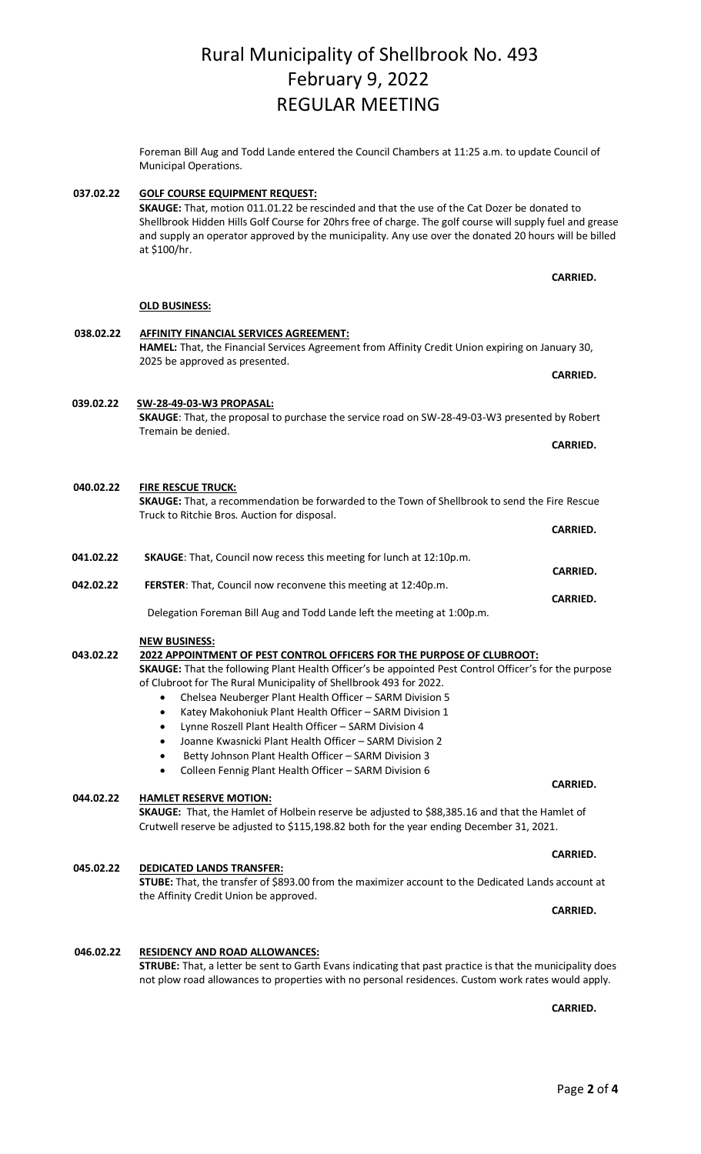# Rural Municipality of Shellbrook No. 493 February 9, 2022 REGULAR MEETING

Foreman Bill Aug and Todd Lande entered the Council Chambers at 11:25 a.m. to update Council of Municipal Operations.

**037.02.22 GOLF COURSE EQUIPMENT REQUEST: SKAUGE:** That, motion 011.01.22 be rescinded and that the use of the Cat Dozer be donated to Shellbrook Hidden Hills Golf Course for 20hrs free of charge. The golf course will supply fuel and grease and supply an operator approved by the municipality. Any use over the donated 20 hours will be billed at \$100/hr.

**OLD BUSINESS: 038.02.22 AFFINITY FINANCIAL SERVICES AGREEMENT: HAMEL:** That, the Financial Services Agreement from Affinity Credit Union expiring on January 30, 2025 be approved as presented. **CARRIED. CARRIED.** 

 **039.02.22 SW-28-49-03-W3 PROPASAL: SKAUGE**: That, the proposal to purchase the service road on SW-28-49-03-W3 presented by Robert Tremain be denied.

**040.02.22 FIRE RESCUE TRUCK: SKAUGE:** That, a recommendation be forwarded to the Town of Shellbrook to send the Fire Rescue Truck to Ritchie Bros. Auction for disposal.

**041.02.22 SKAUGE**: That, Council now recess this meeting for lunch at 12:10p.m. **CARRIED. 042.02.22 FERSTER**: That, Council now reconvene this meeting at 12:40p.m. **CARRIED.**

Delegation Foreman Bill Aug and Todd Lande left the meeting at 1:00p.m.

#### **NEW BUSINESS:**

### **043.02.22 2022 APPOINTMENT OF PEST CONTROL OFFICERS FOR THE PURPOSE OF CLUBROOT:**

**SKAUGE:** That the following Plant Health Officer's be appointed Pest Control Officer's for the purpose of Clubroot for The Rural Municipality of Shellbrook 493 for 2022.

**CARRIED. CARRIED.** 

- Chelsea Neuberger Plant Health Officer SARM Division 5
- Katey Makohoniuk Plant Health Officer SARM Division 1
- Lynne Roszell Plant Health Officer SARM Division 4
- Joanne Kwasnicki Plant Health Officer SARM Division 2
- Betty Johnson Plant Health Officer SARM Division 3
- Colleen Fennig Plant Health Officer SARM Division 6

# **044.02.22 HAMLET RESERVE MOTION:**

**SKAUGE:** That, the Hamlet of Holbein reserve be adjusted to \$88,385.16 and that the Hamlet of Crutwell reserve be adjusted to \$115,198.82 both for the year ending December 31, 2021.

# **045.02.22 DEDICATED LANDS TRANSFER:**

**STUBE:** That, the transfer of \$893.00 from the maximizer account to the Dedicated Lands account at the Affinity Credit Union be approved.

# **046.02.22 RESIDENCY AND ROAD ALLOWANCES:**

**STRUBE:** That, a letter be sent to Garth Evans indicating that past practice is that the municipality does not plow road allowances to properties with no personal residences. Custom work rates would apply.

**CARRIED. CARRIED.** 

**CARRIED.**

# **CARRIED. CARRIED.**

**CARRIED.**

# **CARRIED.**

**CARRIED.**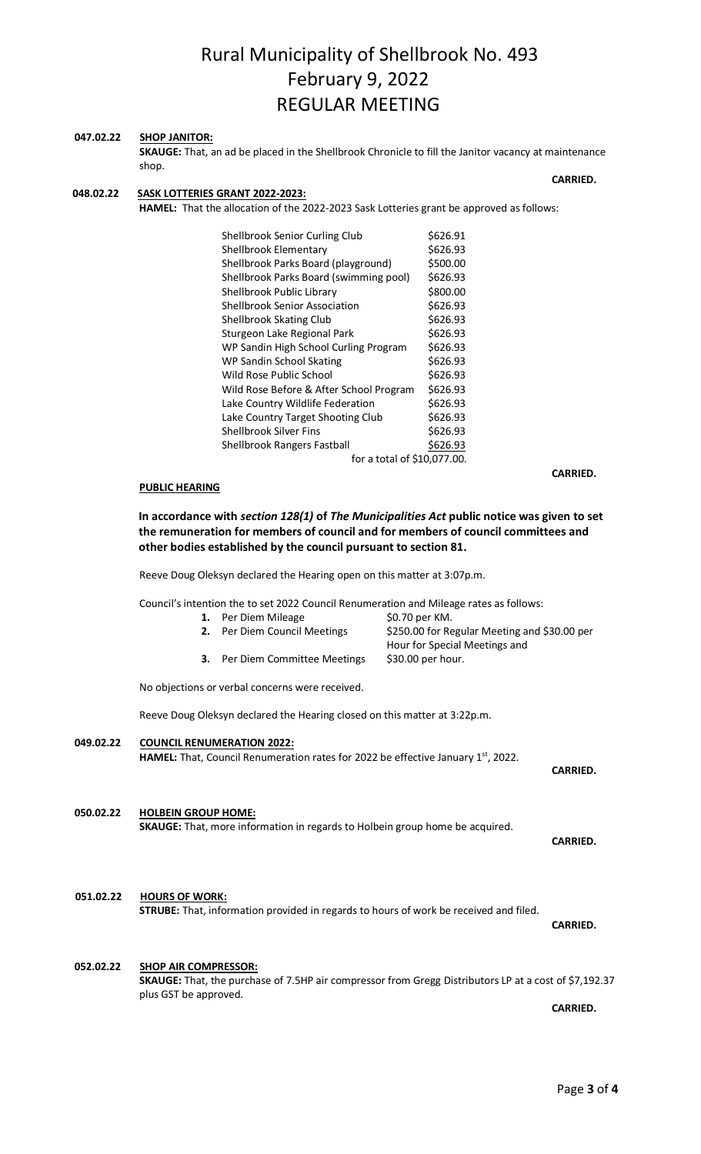# Rural Municipality of Shellbrook No. 493 February 9, 2022 REGULAR MEETING

#### **047.02.22 SHOP JANITOR:**

**SKAUGE:** That, an ad be placed in the Shellbrook Chronicle to fill the Janitor vacancy at maintenance shop.

#### **CARRIED. CARRIED. 048.02.22 SASK LOTTERIES GRANT 2022-2023:**

**HAMEL:** That the allocation of the 2022-2023 Sask Lotteries grant be approved as follows:

| Shellbrook Senior Curling Club          | \$626.91 |
|-----------------------------------------|----------|
| Shellbrook Elementary                   | \$626.93 |
| Shellbrook Parks Board (playground)     | \$500.00 |
| Shellbrook Parks Board (swimming pool)  | \$626.93 |
| Shellbrook Public Library               | \$800.00 |
| <b>Shellbrook Senior Association</b>    | \$626.93 |
| Shellbrook Skating Club                 | \$626.93 |
| Sturgeon Lake Regional Park             | \$626.93 |
| WP Sandin High School Curling Program   | \$626.93 |
| WP Sandin School Skating                | \$626.93 |
| Wild Rose Public School                 | \$626.93 |
| Wild Rose Before & After School Program | \$626.93 |
| Lake Country Wildlife Federation        | \$626.93 |
| Lake Country Target Shooting Club       | \$626.93 |
| Shellbrook Silver Fins                  | \$626.93 |
| <b>Shellbrook Rangers Fastball</b>      | \$626.93 |
| for a total of \$10,077.00.             |          |

#### **PUBLIC HEARING**

**In accordance with** *section 128(1)* **of** *The Municipalities Act* **public notice was given to set the remuneration for members of council and for members of council committees and other bodies established by the council pursuant to section 81.**

Reeve Doug Oleksyn declared the Hearing open on this matter at 3:07p.m.

Council's intention the to set 2022 Council Renumeration and Mileage rates as follows:

1. Per Diem Mileage  $$0.70$  per KM. **2.** Per Diem Council Meetings  $\frac{250.00}{250.00}$  for Regular Meeting and \$30.00 per Hour for Special Meetings and<br>\$30.00 per hour. **3.** Per Diem Committee Meetings No objections or verbal concerns were received. Reeve Doug Oleksyn declared the Hearing closed on this matter at 3:22p.m. **049.02.22 COUNCIL RENUMERATION 2022:** HAMEL: That, Council Renumeration rates for 2022 be effective January 1<sup>st</sup>, 2022. **CARRIED. CARRIED. 050.02.22 HOLBEIN GROUP HOME: SKAUGE:** That, more information in regards to Holbein group home be acquired. **CARRIED. CARRIED. 051.02.22 HOURS OF WORK: STRUBE:** That, information provided in regards to hours of work be received and filed. **CARRIED. 052.02.22 SHOP AIR COMPRESSOR: SKAUGE:** That, the purchase of 7.5HP air compressor from Gregg Distributors LP at a cost of \$7,192.37 plus GST be approved.

**CARRIED. CARRIED.** 

**CARRIED.**